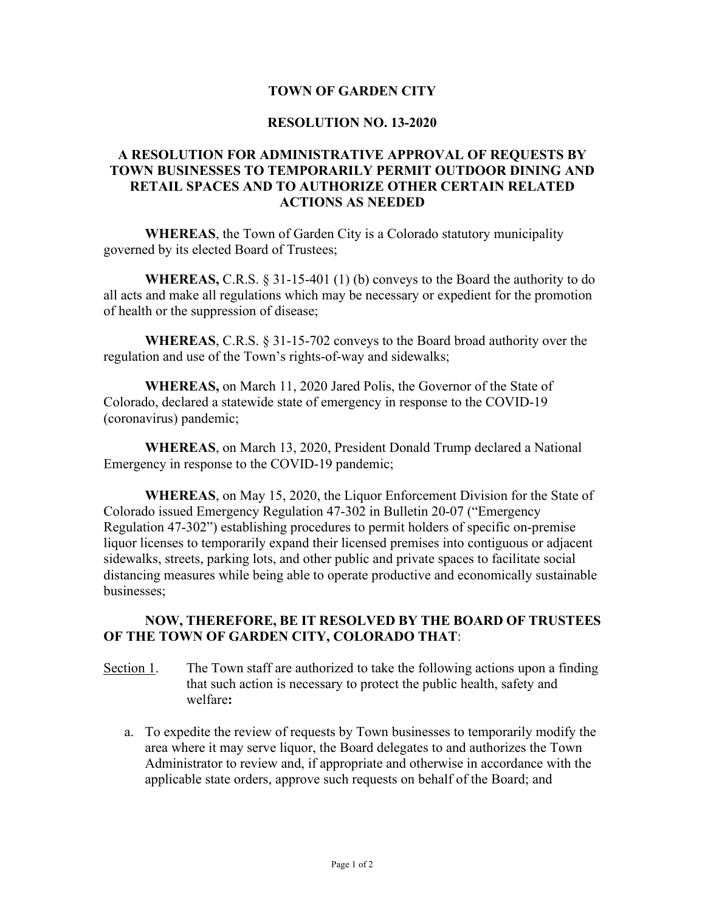## **TOWN OF GARDEN CITY**

## **RESOLUTION NO. 13-2020**

## **A RESOLUTION FOR ADMINISTRATIVE APPROVAL OF REQUESTS BY TOWN BUSINESSES TO TEMPORARILY PERMIT OUTDOOR DINING AND RETAIL SPACES AND TO AUTHORIZE OTHER CERTAIN RELATED ACTIONS AS NEEDED**

**WHEREAS**, the Town of Garden City is a Colorado statutory municipality governed by its elected Board of Trustees;

**WHEREAS,** C.R.S. § 31-15-401 (1) (b) conveys to the Board the authority to do all acts and make all regulations which may be necessary or expedient for the promotion of health or the suppression of disease;

**WHEREAS**, C.R.S. § 31-15-702 conveys to the Board broad authority over the regulation and use of the Town's rights-of-way and sidewalks;

**WHEREAS,** on March 11, 2020 Jared Polis, the Governor of the State of Colorado, declared a statewide state of emergency in response to the COVID-19 (coronavirus) pandemic;

**WHEREAS**, on March 13, 2020, President Donald Trump declared a National Emergency in response to the COVID-19 pandemic;

**WHEREAS**, on May 15, 2020, the Liquor Enforcement Division for the State of Colorado issued Emergency Regulation 47-302 in Bulletin 20-07 ("Emergency Regulation 47-302") establishing procedures to permit holders of specific on-premise liquor licenses to temporarily expand their licensed premises into contiguous or adjacent sidewalks, streets, parking lots, and other public and private spaces to facilitate social distancing measures while being able to operate productive and economically sustainable businesses;

## **NOW, THEREFORE, BE IT RESOLVED BY THE BOARD OF TRUSTEES OF THE TOWN OF GARDEN CITY, COLORADO THAT**:

- Section 1. The Town staff are authorized to take the following actions upon a finding that such action is necessary to protect the public health, safety and welfare**:**
	- a. To expedite the review of requests by Town businesses to temporarily modify the area where it may serve liquor, the Board delegates to and authorizes the Town Administrator to review and, if appropriate and otherwise in accordance with the applicable state orders, approve such requests on behalf of the Board; and